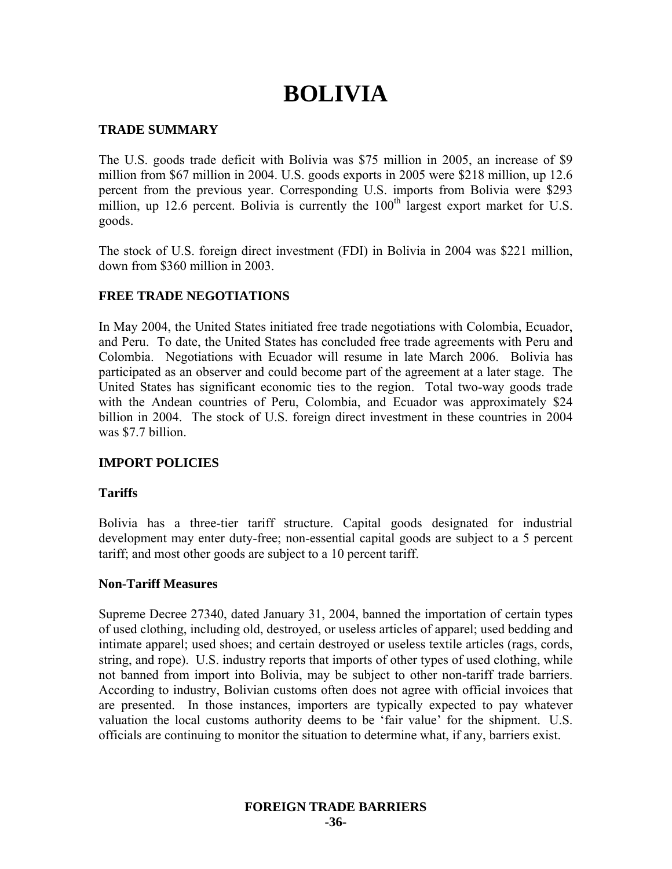# **BOLIVIA**

## **TRADE SUMMARY**

The U.S. goods trade deficit with Bolivia was \$75 million in 2005, an increase of \$9 million from \$67 million in 2004. U.S. goods exports in 2005 were \$218 million, up 12.6 percent from the previous year. Corresponding U.S. imports from Bolivia were \$293 million, up 12.6 percent. Bolivia is currently the  $100<sup>th</sup>$  largest export market for U.S. goods.

The stock of U.S. foreign direct investment (FDI) in Bolivia in 2004 was \$221 million, down from \$360 million in 2003.

## **FREE TRADE NEGOTIATIONS**

In May 2004, the United States initiated free trade negotiations with Colombia, Ecuador, and Peru. To date, the United States has concluded free trade agreements with Peru and Colombia. Negotiations with Ecuador will resume in late March 2006. Bolivia has participated as an observer and could become part of the agreement at a later stage. The United States has significant economic ties to the region. Total two-way goods trade with the Andean countries of Peru, Colombia, and Ecuador was approximately \$24 billion in 2004. The stock of U.S. foreign direct investment in these countries in 2004 was \$7.7 billion.

## **IMPORT POLICIES**

#### **Tariffs**

Bolivia has a three-tier tariff structure. Capital goods designated for industrial development may enter duty-free; non-essential capital goods are subject to a 5 percent tariff; and most other goods are subject to a 10 percent tariff.

#### **Non-Tariff Measures**

Supreme Decree 27340, dated January 31, 2004, banned the importation of certain types of used clothing, including old, destroyed, or useless articles of apparel; used bedding and intimate apparel; used shoes; and certain destroyed or useless textile articles (rags, cords, string, and rope). U.S. industry reports that imports of other types of used clothing, while not banned from import into Bolivia, may be subject to other non-tariff trade barriers. According to industry, Bolivian customs often does not agree with official invoices that are presented. In those instances, importers are typically expected to pay whatever valuation the local customs authority deems to be 'fair value' for the shipment. U.S. officials are continuing to monitor the situation to determine what, if any, barriers exist.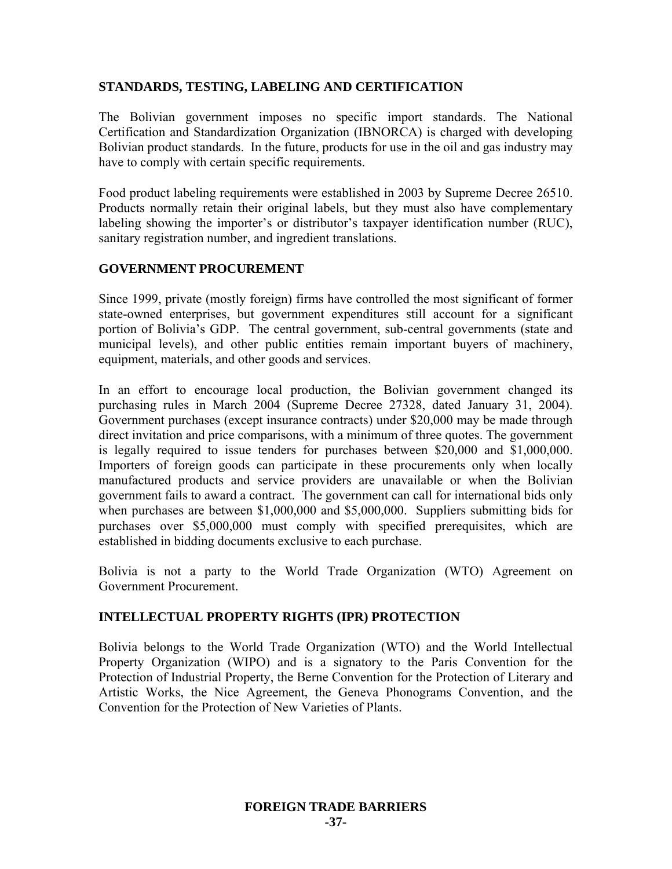## **STANDARDS, TESTING, LABELING AND CERTIFICATION**

The Bolivian government imposes no specific import standards. The National Certification and Standardization Organization (IBNORCA) is charged with developing Bolivian product standards. In the future, products for use in the oil and gas industry may have to comply with certain specific requirements.

Food product labeling requirements were established in 2003 by Supreme Decree 26510. Products normally retain their original labels, but they must also have complementary labeling showing the importer's or distributor's taxpayer identification number (RUC), sanitary registration number, and ingredient translations.

#### **GOVERNMENT PROCUREMENT**

Since 1999, private (mostly foreign) firms have controlled the most significant of former state-owned enterprises, but government expenditures still account for a significant portion of Bolivia's GDP. The central government, sub-central governments (state and municipal levels), and other public entities remain important buyers of machinery, equipment, materials, and other goods and services.

In an effort to encourage local production, the Bolivian government changed its purchasing rules in March 2004 (Supreme Decree 27328, dated January 31, 2004). Government purchases (except insurance contracts) under \$20,000 may be made through direct invitation and price comparisons, with a minimum of three quotes. The government is legally required to issue tenders for purchases between \$20,000 and \$1,000,000. Importers of foreign goods can participate in these procurements only when locally manufactured products and service providers are unavailable or when the Bolivian government fails to award a contract. The government can call for international bids only when purchases are between \$1,000,000 and \$5,000,000. Suppliers submitting bids for purchases over \$5,000,000 must comply with specified prerequisites, which are established in bidding documents exclusive to each purchase.

Bolivia is not a party to the World Trade Organization (WTO) Agreement on Government Procurement.

## **INTELLECTUAL PROPERTY RIGHTS (IPR) PROTECTION**

Bolivia belongs to the World Trade Organization (WTO) and the World Intellectual Property Organization (WIPO) and is a signatory to the Paris Convention for the Protection of Industrial Property, the Berne Convention for the Protection of Literary and Artistic Works, the Nice Agreement, the Geneva Phonograms Convention, and the Convention for the Protection of New Varieties of Plants.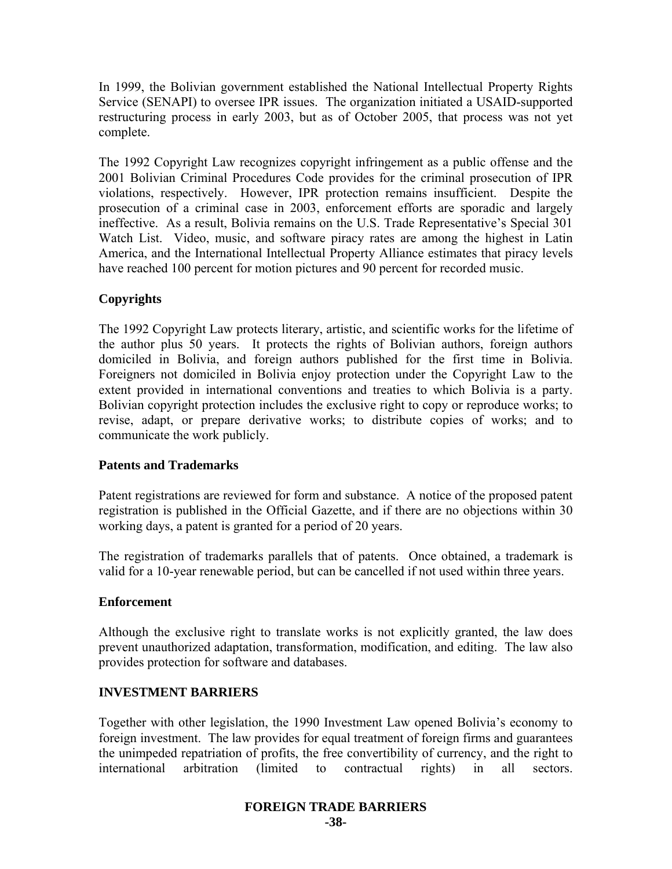In 1999, the Bolivian government established the National Intellectual Property Rights Service (SENAPI) to oversee IPR issues. The organization initiated a USAID-supported restructuring process in early 2003, but as of October 2005, that process was not yet complete.

The 1992 Copyright Law recognizes copyright infringement as a public offense and the 2001 Bolivian Criminal Procedures Code provides for the criminal prosecution of IPR violations, respectively. However, IPR protection remains insufficient. Despite the prosecution of a criminal case in 2003, enforcement efforts are sporadic and largely ineffective. As a result, Bolivia remains on the U.S. Trade Representative's Special 301 Watch List. Video, music, and software piracy rates are among the highest in Latin America, and the International Intellectual Property Alliance estimates that piracy levels have reached 100 percent for motion pictures and 90 percent for recorded music.

# **Copyrights**

The 1992 Copyright Law protects literary, artistic, and scientific works for the lifetime of the author plus 50 years. It protects the rights of Bolivian authors, foreign authors domiciled in Bolivia, and foreign authors published for the first time in Bolivia. Foreigners not domiciled in Bolivia enjoy protection under the Copyright Law to the extent provided in international conventions and treaties to which Bolivia is a party. Bolivian copyright protection includes the exclusive right to copy or reproduce works; to revise, adapt, or prepare derivative works; to distribute copies of works; and to communicate the work publicly.

## **Patents and Trademarks**

Patent registrations are reviewed for form and substance. A notice of the proposed patent registration is published in the Official Gazette, and if there are no objections within 30 working days, a patent is granted for a period of 20 years.

The registration of trademarks parallels that of patents. Once obtained, a trademark is valid for a 10-year renewable period, but can be cancelled if not used within three years.

#### **Enforcement**

Although the exclusive right to translate works is not explicitly granted, the law does prevent unauthorized adaptation, transformation, modification, and editing. The law also provides protection for software and databases.

#### **INVESTMENT BARRIERS**

Together with other legislation, the 1990 Investment Law opened Bolivia's economy to foreign investment. The law provides for equal treatment of foreign firms and guarantees the unimpeded repatriation of profits, the free convertibility of currency, and the right to international arbitration (limited to contractual rights) in all sectors.